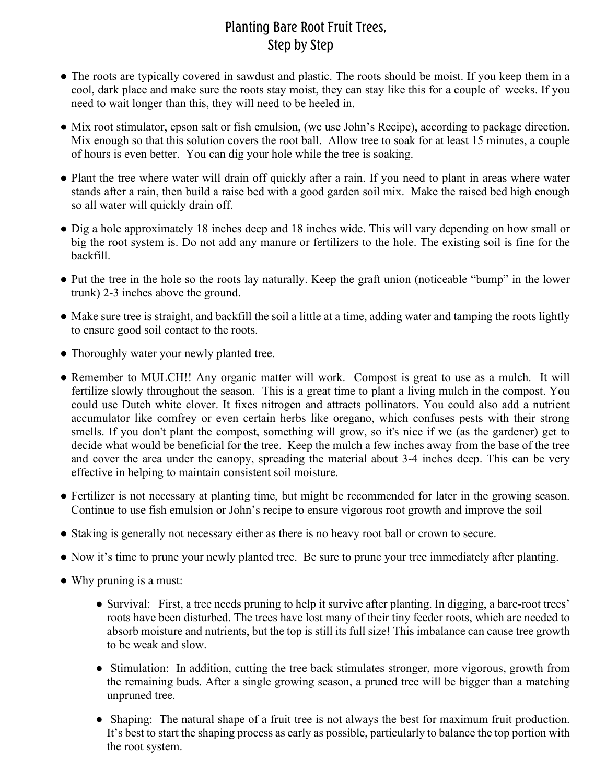## Planting Bare Root Fruit Trees, Step by Step

- The roots are typically covered in sawdust and plastic. The roots should be moist. If you keep them in a cool, dark place and make sure the roots stay moist, they can stay like this for a couple of weeks. If you need to wait longer than this, they will need to be heeled in.
- Mix root stimulator, epson salt or fish emulsion, (we use John's Recipe), according to package direction. Mix enough so that this solution covers the root ball. Allow tree to soak for at least 15 minutes, a couple of hours is even better. You can dig your hole while the tree is soaking.
- Plant the tree where water will drain off quickly after a rain. If you need to plant in areas where water stands after a rain, then build a raise bed with a good garden soil mix. Make the raised bed high enough so all water will quickly drain off.
- Dig a hole approximately 18 inches deep and 18 inches wide. This will vary depending on how small or big the root system is. Do not add any manure or fertilizers to the hole. The existing soil is fine for the backfill.
- Put the tree in the hole so the roots lay naturally. Keep the graft union (noticeable "bump" in the lower trunk) 2-3 inches above the ground.
- Make sure tree is straight, and backfill the soil a little at a time, adding water and tamping the roots lightly to ensure good soil contact to the roots.
- Thoroughly water your newly planted tree.
- Remember to MULCH!! Any organic matter will work. Compost is great to use as a mulch. It will fertilize slowly throughout the season. This is a great time to plant a living mulch in the compost. You could use Dutch white clover. It fixes nitrogen and attracts pollinators. You could also add a nutrient accumulator like comfrey or even certain herbs like oregano, which confuses pests with their strong smells. If you don't plant the compost, something will grow, so it's nice if we (as the gardener) get to decide what would be beneficial for the tree. Keep the mulch a few inches away from the base of the tree and cover the area under the canopy, spreading the material about 3-4 inches deep. This can be very effective in helping to maintain consistent soil moisture.
- Fertilizer is not necessary at planting time, but might be recommended for later in the growing season. Continue to use fish emulsion or John's recipe to ensure vigorous root growth and improve the soil
- Staking is generally not necessary either as there is no heavy root ball or crown to secure.
- Now it's time to prune your newly planted tree. Be sure to prune your tree immediately after planting.
- Why pruning is a must:
	- Survival: First, a tree needs pruning to help it survive after planting. In digging, a bare-root trees' roots have been disturbed. The trees have lost many of their tiny feeder roots, which are needed to absorb moisture and nutrients, but the top is still its full size! This imbalance can cause tree growth to be weak and slow.
	- Stimulation: In addition, cutting the tree back stimulates stronger, more vigorous, growth from the remaining buds. After a single growing season, a pruned tree will be bigger than a matching unpruned tree.
	- Shaping: The natural shape of a fruit tree is not always the best for maximum fruit production. It's best to start the shaping process as early as possible, particularly to balance the top portion with the root system.